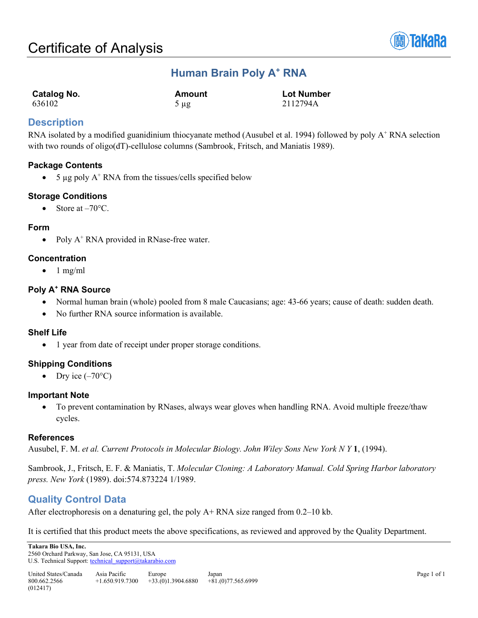

# **Human Brain Poly A+ RNA**

| Catalog No. | Amount    | <b>Lot Number</b> |
|-------------|-----------|-------------------|
| 636102      | $5 \mu g$ | 2112794A          |

## **Description**

RNA isolated by a modified guanidinium thiocyanate method (Ausubel et al. 1994) followed by poly  $A^+$  RNA selection with two rounds of oligo(dT)-cellulose columns (Sambrook, Fritsch, and Maniatis 1989).

## **Package Contents**

• 5  $\mu$ g poly A<sup>+</sup> RNA from the tissues/cells specified below

## **Storage Conditions**

• Store at  $-70^{\circ}$ C.

### **Form**

• Poly A<sup>+</sup> RNA provided in RNase-free water.

### **Concentration**

 $\bullet$  1 mg/ml

### **Poly A+ RNA Source**

- Normal human brain (whole) pooled from 8 male Caucasians; age: 43-66 years; cause of death: sudden death.
- No further RNA source information is available.

#### **Shelf Life**

• 1 year from date of receipt under proper storage conditions.

## **Shipping Conditions**

• Dry ice  $(-70^{\circ}C)$ 

#### **Important Note**

• To prevent contamination by RNases, always wear gloves when handling RNA. Avoid multiple freeze/thaw cycles.

#### **References**

Ausubel, F. M. *et al. Current Protocols in Molecular Biology. John Wiley Sons New York N Y* **1**, (1994).

Sambrook, J., Fritsch, E. F. & Maniatis, T. *Molecular Cloning: A Laboratory Manual. Cold Spring Harbor laboratory press. New York* (1989). doi:574.873224 1/1989.

## **Quality Control Data**

After electrophoresis on a denaturing gel, the poly A+ RNA size ranged from 0.2–10 kb.

It is certified that this product meets the above specifications, as reviewed and approved by the Quality Department.